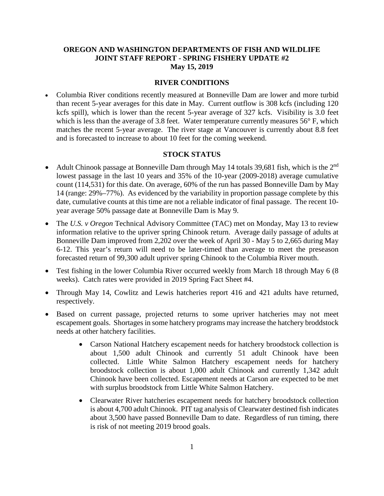#### **OREGON AND WASHINGTON DEPARTMENTS OF FISH AND WILDLIFE JOINT STAFF REPORT - SPRING FISHERY UPDATE #2 May 15, 2019**

#### **RIVER CONDITIONS**

• Columbia River conditions recently measured at Bonneville Dam are lower and more turbid than recent 5-year averages for this date in May. Current outflow is 308 kcfs (including 120 kcfs spill), which is lower than the recent 5-year average of 327 kcfs. Visibility is 3.0 feet which is less than the average of 3.8 feet. Water temperature currently measures 56° F, which matches the recent 5-year average. The river stage at Vancouver is currently about 8.8 feet and is forecasted to increase to about 10 feet for the coming weekend.

#### **STOCK STATUS**

- Adult Chinook passage at Bonneville Dam through May 14 totals 39,681 fish, which is the  $2<sup>nd</sup>$ lowest passage in the last 10 years and 35% of the 10-year (2009-2018) average cumulative count (114,531) for this date. On average, 60% of the run has passed Bonneville Dam by May 14 (range: 29%–77%). As evidenced by the variability in proportion passage complete by this date, cumulative counts at this time are not a reliable indicator of final passage. The recent 10 year average 50% passage date at Bonneville Dam is May 9.
- The *U.S. v Oregon* Technical Advisory Committee (TAC) met on Monday, May 13 to review information relative to the upriver spring Chinook return. Average daily passage of adults at Bonneville Dam improved from 2,202 over the week of April 30 - May 5 to 2,665 during May 6-12. This year's return will need to be later-timed than average to meet the preseason forecasted return of 99,300 adult upriver spring Chinook to the Columbia River mouth.
- Test fishing in the lower Columbia River occurred weekly from March 18 through May 6 (8) weeks). Catch rates were provided in 2019 Spring Fact Sheet #4.
- Through May 14, Cowlitz and Lewis hatcheries report 416 and 421 adults have returned, respectively.
- Based on current passage, projected returns to some upriver hatcheries may not meet escapement goals. Shortages in some hatchery programs may increase the hatchery broddstock needs at other hatchery facilities.
	- Carson National Hatchery escapement needs for hatchery broodstock collection is about 1,500 adult Chinook and currently 51 adult Chinook have been collected. Little White Salmon Hatchery escapement needs for hatchery broodstock collection is about 1,000 adult Chinook and currently 1,342 adult Chinook have been collected. Escapement needs at Carson are expected to be met with surplus broodstock from Little White Salmon Hatchery.
	- Clearwater River hatcheries escapement needs for hatchery broodstock collection is about 4,700 adult Chinook. PIT tag analysis of Clearwater destined fish indicates about 3,500 have passed Bonneville Dam to date. Regardless of run timing, there is risk of not meeting 2019 brood goals.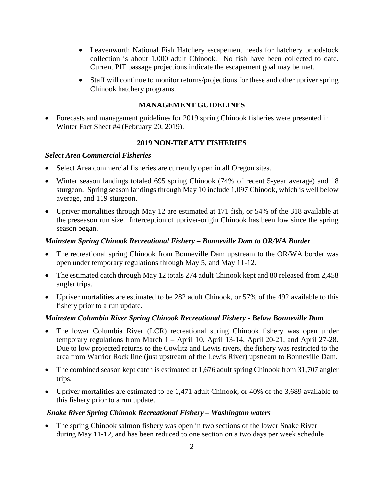- Leavenworth National Fish Hatchery escapement needs for hatchery broodstock collection is about 1,000 adult Chinook. No fish have been collected to date. Current PIT passage projections indicate the escapement goal may be met.
- Staff will continue to monitor returns/projections for these and other upriver spring Chinook hatchery programs.

# **MANAGEMENT GUIDELINES**

• Forecasts and management guidelines for 2019 spring Chinook fisheries were presented in Winter Fact Sheet #4 (February 20, 2019).

# **2019 NON-TREATY FISHERIES**

## *Select Area Commercial Fisheries*

- Select Area commercial fisheries are currently open in all Oregon sites.
- Winter season landings totaled 695 spring Chinook (74% of recent 5-year average) and 18 sturgeon. Spring season landings through May 10 include 1,097 Chinook, which is well below average, and 119 sturgeon.
- Upriver mortalities through May 12 are estimated at 171 fish, or 54% of the 318 available at the preseason run size. Interception of upriver-origin Chinook has been low since the spring season began.

## *Mainstem Spring Chinook Recreational Fishery – Bonneville Dam to OR/WA Border*

- The recreational spring Chinook from Bonneville Dam upstream to the OR/WA border was open under temporary regulations through May 5, and May 11-12.
- The estimated catch through May 12 totals 274 adult Chinook kept and 80 released from 2,458 angler trips.
- Upriver mortalities are estimated to be 282 adult Chinook, or 57% of the 492 available to this fishery prior to a run update.

## *Mainstem Columbia River Spring Chinook Recreational Fishery - Below Bonneville Dam*

- The lower Columbia River (LCR) recreational spring Chinook fishery was open under temporary regulations from March 1 – April 10, April 13-14, April 20-21, and April 27-28. Due to low projected returns to the Cowlitz and Lewis rivers, the fishery was restricted to the area from Warrior Rock line (just upstream of the Lewis River) upstream to Bonneville Dam.
- The combined season kept catch is estimated at 1,676 adult spring Chinook from 31,707 angler trips.
- Upriver mortalities are estimated to be 1,471 adult Chinook, or 40% of the 3,689 available to this fishery prior to a run update.

## *Snake River Spring Chinook Recreational Fishery – Washington waters*

The spring Chinook salmon fishery was open in two sections of the lower Snake River during May 11-12, and has been reduced to one section on a two days per week schedule